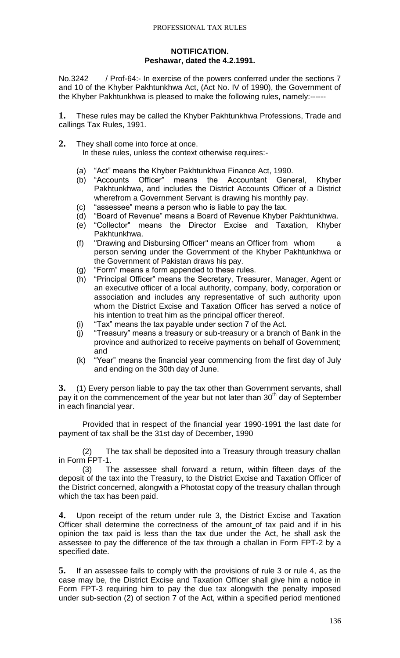# **NOTIFICATION. Peshawar, dated the 4.2.1991.**

No.3242 / Prof-64:- In exercise of the powers conferred under the sections 7 and 10 of the Khyber Pakhtunkhwa Act, (Act No. IV of 1990), the Government of the Khyber Pakhtunkhwa is pleased to make the following rules, namely:------

**1.** These rules may be called the Khyber Pakhtunkhwa Professions, Trade and callings Tax Rules, 1991.

**2.** They shall come into force at once.

In these rules, unless the context otherwise requires:-

- (a) "Act" means the Khyber Pakhtunkhwa Finance Act, 1990.
- (b) "Accounts Officer" means the Accountant General, Khyber Pakhtunkhwa, and includes the District Accounts Officer of a District wherefrom a Government Servant is drawing his monthly pay.
- (c) "assessee" means a person who is liable to pay the tax.
- (d) "Board of Revenue" means a Board of Revenue Khyber Pakhtunkhwa.
- (e) "Collector" means the Director Excise and Taxation, Khyber Pakhtunkhwa.
- (f) "Drawing and Disbursing Officer" means an Officer from whom a person serving under the Government of the Khyber Pakhtunkhwa or the Government of Pakistan draws his pay.
- (g) "Form" means a form appended to these rules.
- (h) "Principal Officer" means the Secretary, Treasurer, Manager, Agent or an executive officer of a local authority, company, body, corporation or association and includes any representative of such authority upon whom the District Excise and Taxation Officer has served a notice of his intention to treat him as the principal officer thereof.
- (i) "Tax" means the tax payable under section 7 of the Act.
- (j) "Treasury" means a treasury or sub-treasury or a branch of Bank in the province and authorized to receive payments on behalf of Government; and
- (k) "Year" means the financial year commencing from the first day of July and ending on the 30th day of June.

**3.** (1) Every person liable to pay the tax other than Government servants, shall pay it on the commencement of the year but not later than  $30<sup>th</sup>$  day of September in each financial year.

Provided that in respect of the financial year 1990-1991 the last date for payment of tax shall be the 31st day of December, 1990

(2) The tax shall be deposited into a Treasury through treasury challan in Form FPT-1.

(3) The assessee shall forward a return, within fifteen days of the deposit of the tax into the Treasury, to the District Excise and Taxation Officer of the District concerned, alongwith a Photostat copy of the treasury challan through which the tax has been paid.

**4.** Upon receipt of the return under rule 3, the District Excise and Taxation Officer shall determine the correctness of the amount of tax paid and if in his opinion the tax paid is less than the tax due under the Act, he shall ask the assessee to pay the difference of the tax through a challan in Form FPT-2 by a specified date.

**5.** If an assessee fails to comply with the provisions of rule 3 or rule 4, as the case may be, the District Excise and Taxation Officer shall give him a notice in Form FPT-3 requiring him to pay the due tax alongwith the penalty imposed under sub-section (2) of section 7 of the Act, within a specified period mentioned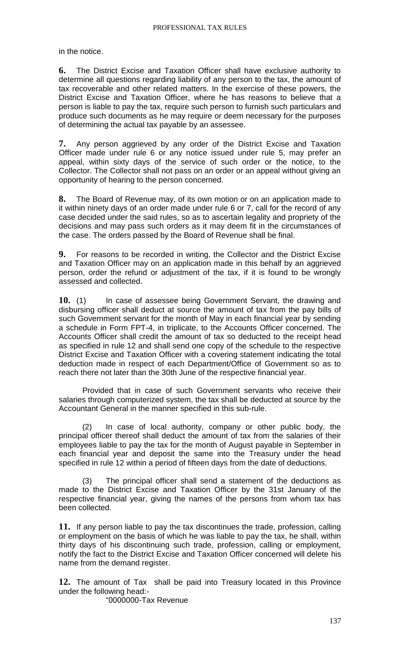in the notice.

**6.** The District Excise and Taxation Officer shall have exclusive authority to determine all questions regarding liability of any person to the tax, the amount of tax recoverable and other related matters. In the exercise of these powers, the District Excise and Taxation Officer, where he has reasons to believe that a person is liable to pay the tax, require such person to furnish such particulars and produce such documents as he may require or deem necessary for the purposes of determining the actual tax payable by an assessee.

**7.** Any person aggrieved by any order of the District Excise and Taxation Officer made under rule 6 or any notice issued under rule 5, may prefer an appeal, within sixty days of the service of such order or the notice, to the Collector. The Collector shall not pass on an order or an appeal without giving an opportunity of hearing to the person concerned.

**8.** The Board of Revenue may, of its own motion or on an application made to it within ninety days of an order made under rule 6 or 7, call for the record of any case decided under the said rules, so as to ascertain legality and propriety of the decisions and may pass such orders as it may deem fit in the circumstances of the case. The orders passed by the Board of Revenue shall be final.

**9.** For reasons to be recorded in writing, the Collector and the District Excise and Taxation Officer may on an application made in this behalf by an aggrieved person, order the refund or adjustment of the tax, if it is found to be wrongly assessed and collected.

**10.** (1) In case of assessee being Government Servant, the drawing and disbursing officer shall deduct at source the amount of tax from the pay bills of such Government servant for the month of May in each financial year by sending a schedule in Form FPT-4, in triplicate, to the Accounts Officer concerned. The Accounts Officer shall credit the amount of tax so deducted to the receipt head as specified in rule 12 and shall send one copy of the schedule to the respective District Excise and Taxation Officer with a covering statement indicating the total deduction made in respect of each Department/Office of Government so as to reach there not later than the 30th June of the respective financial year.

Provided that in case of such Government servants who receive their salaries through computerized system, the tax shall be deducted at source by the Accountant General in the manner specified in this sub-rule.

(2) In case of local authority, company or other public body, the principal officer thereof shall deduct the amount of tax from the salaries of their employees liable to pay the tax for the month of August payable in September in each financial year and deposit the same into the Treasury under the head specified in rule 12 within a period of fifteen days from the date of deductions.

(3) The principal officer shall send a statement of the deductions as made to the District Excise and Taxation Officer by the 31st January of the respective financial year, giving the names of the persons from whom tax has been collected.

**11.** If any person liable to pay the tax discontinues the trade, profession, calling or employment on the basis of which he was liable to pay the tax, he shall, within thirty days of his discontinuing such trade, profession, calling or employment, notify the fact to the District Excise and Taxation Officer concerned will delete his name from the demand register.

**12.** The amount of Tax shall be paid into Treasury located in this Province under the following head:-

"0000000-Tax Revenue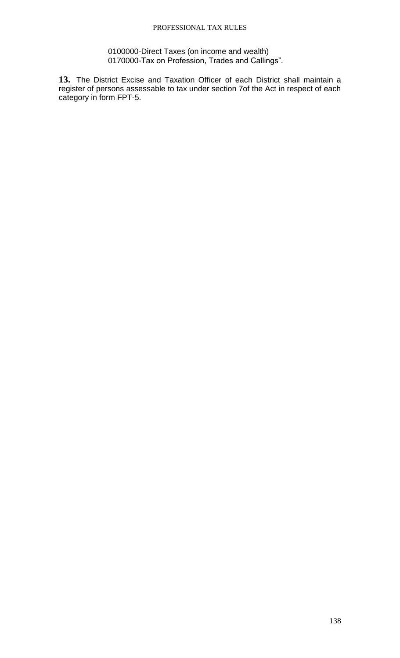0100000-Direct Taxes (on income and wealth) 0170000-Tax on Profession, Trades and Callings".

**13.** The District Excise and Taxation Officer of each District shall maintain a register of persons assessable to tax under section 7of the Act in respect of each category in form FPT-5.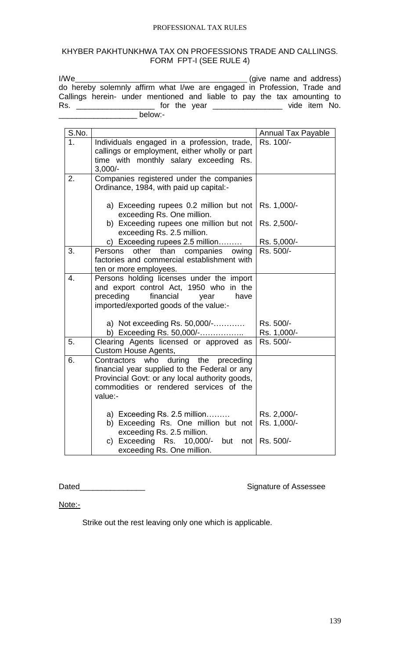# KHYBER PAKHTUNKHWA TAX ON PROFESSIONS TRADE AND CALLINGS. FORM FPT-I (SEE RULE 4)

| I/We                                                                     | (give name and address) |
|--------------------------------------------------------------------------|-------------------------|
| do hereby solemnly affirm what I/we are engaged in Profession, Trade and |                         |
| Callings herein- under mentioned and liable to pay the tax amounting to  |                         |
| Rs.<br>for the year <u>examents</u>                                      | vide item No.           |
| below:-                                                                  |                         |

| S.No. |                                                                                                                                                                                               | <b>Annual Tax Payable</b>  |
|-------|-----------------------------------------------------------------------------------------------------------------------------------------------------------------------------------------------|----------------------------|
| 1.    | Individuals engaged in a profession, trade,                                                                                                                                                   | Rs. 100/-                  |
|       | callings or employment, either wholly or part<br>time with monthly salary exceeding Rs.                                                                                                       |                            |
|       | $3,000/-$                                                                                                                                                                                     |                            |
| 2.    | Companies registered under the companies<br>Ordinance, 1984, with paid up capital:-                                                                                                           |                            |
|       | a) Exceeding rupees $0.2$ million but not<br>exceeding Rs. One million.                                                                                                                       | Rs. 1,000/-                |
|       | b) Exceeding rupees one million but not<br>exceeding Rs. 2.5 million.                                                                                                                         | Rs. 2,500/-                |
|       | c) Exceeding rupees 2.5 million                                                                                                                                                               | Rs. 5,000/-                |
| 3.    | than<br>companies<br>other<br>Persons<br>owing<br>factories and commercial establishment with<br>ten or more employees.                                                                       | Rs. 500/-                  |
| 4.    | Persons holding licenses under the import<br>and export control Act, 1950 who in the<br>preceding<br>financial<br>have<br>year<br>imported/exported goods of the value:-                      |                            |
|       | a) Not exceeding Rs. 50,000/-<br>b) Exceeding Rs. 50,000/-                                                                                                                                    | Rs. 500/-<br>Rs. 1,000/-   |
| 5.    | Clearing Agents licensed or approved as<br><b>Custom House Agents,</b>                                                                                                                        | Rs. 500/-                  |
| 6.    | Contractors who during the preceding<br>financial year supplied to the Federal or any<br>Provincial Govt: or any local authority goods,<br>commodities or rendered services of the<br>value:- |                            |
|       | a) Exceeding Rs. 2.5 million<br>b) Exceeding Rs. One million but not<br>exceeding Rs. 2.5 million.                                                                                            | Rs. 2,000/-<br>Rs. 1,000/- |
|       | c) Exceeding Rs. 10,000/- but<br>not<br>exceeding Rs. One million.                                                                                                                            | Rs. 500/-                  |

# Dated\_\_\_\_\_\_\_\_\_\_\_\_\_\_\_ Signature of Assessee

Note:-

Strike out the rest leaving only one which is applicable.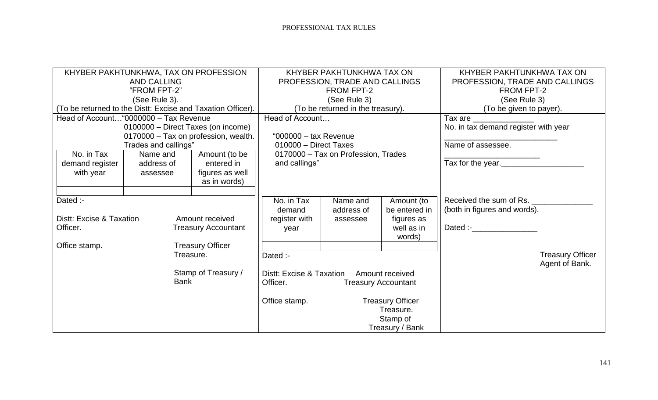| KHYBER PAKHTUNKHWA, TAX ON PROFESSION<br><b>AND CALLING</b> |                                                       |                                   | KHYBER PAKHTUNKHWA TAX ON<br>PROFESSION, TRADE AND CALLINGS |                                     | KHYBER PAKHTUNKHWA TAX ON<br>PROFESSION, TRADE AND CALLINGS |                                      |                |
|-------------------------------------------------------------|-------------------------------------------------------|-----------------------------------|-------------------------------------------------------------|-------------------------------------|-------------------------------------------------------------|--------------------------------------|----------------|
| "FROM FPT-2"                                                |                                                       |                                   | <b>FROM FPT-2</b>                                           |                                     | <b>FROM FPT-2</b>                                           |                                      |                |
|                                                             | (See Rule 3).                                         |                                   | (See Rule 3)                                                |                                     |                                                             | (See Rule 3)                         |                |
| (To be returned to the Distt: Excise and Taxation Officer). |                                                       | (To be returned in the treasury). |                                                             |                                     | (To be given to payer).                                     |                                      |                |
|                                                             | Head of Account "0000000 - Tax Revenue                |                                   | Head of Account                                             |                                     | Tax are $\_\_$                                              |                                      |                |
|                                                             | 0100000 - Direct Taxes (on income)                    |                                   |                                                             |                                     |                                                             | No. in tax demand register with year |                |
|                                                             | 0170000 - Tax on profession, wealth.                  |                                   | "000000 $-$ tax Revenue                                     |                                     |                                                             |                                      |                |
|                                                             | Trades and callings"                                  |                                   | 010000 - Direct Taxes                                       |                                     |                                                             | Name of assessee.                    |                |
| No. in Tax                                                  | Name and                                              | Amount (to be                     |                                                             | 0170000 - Tax on Profession, Trades |                                                             |                                      |                |
| demand register                                             | address of                                            | entered in                        | and callings"                                               |                                     |                                                             | Tax for the year.                    |                |
| with year                                                   | assessee                                              | figures as well                   |                                                             |                                     |                                                             |                                      |                |
|                                                             |                                                       | as in words)                      |                                                             |                                     |                                                             |                                      |                |
|                                                             |                                                       |                                   |                                                             |                                     |                                                             |                                      |                |
| Dated :-                                                    |                                                       | No. in Tax                        | Name and                                                    | Amount (to                          | Received the sum of Rs.                                     |                                      |                |
|                                                             |                                                       | demand                            | address of                                                  | be entered in                       | (both in figures and words).                                |                                      |                |
| Distt: Excise & Taxation<br>Amount received                 |                                                       | register with                     | assessee                                                    | figures as                          |                                                             |                                      |                |
| Officer.<br><b>Treasury Accountant</b>                      |                                                       | year                              |                                                             | well as in                          | Dated :- <b>Example</b>                                     |                                      |                |
|                                                             |                                                       |                                   |                                                             | words)                              |                                                             |                                      |                |
| <b>Treasury Officer</b><br>Office stamp.                    |                                                       |                                   |                                                             |                                     |                                                             |                                      |                |
| Treasure.                                                   |                                                       | Dated :-                          |                                                             |                                     |                                                             | <b>Treasury Officer</b>              |                |
|                                                             |                                                       |                                   |                                                             |                                     |                                                             |                                      | Agent of Bank. |
| Stamp of Treasury /                                         |                                                       |                                   | Distt: Excise & Taxation                                    |                                     | <b>Amount received</b>                                      |                                      |                |
|                                                             | <b>Bank</b><br>Officer.<br><b>Treasury Accountant</b> |                                   |                                                             |                                     |                                                             |                                      |                |
|                                                             |                                                       |                                   |                                                             |                                     |                                                             |                                      |                |
|                                                             |                                                       |                                   | Office stamp.                                               |                                     | <b>Treasury Officer</b>                                     |                                      |                |
|                                                             |                                                       | Treasure.                         |                                                             |                                     |                                                             |                                      |                |
|                                                             |                                                       |                                   |                                                             | Stamp of                            |                                                             |                                      |                |
|                                                             |                                                       |                                   |                                                             |                                     | Treasury / Bank                                             |                                      |                |